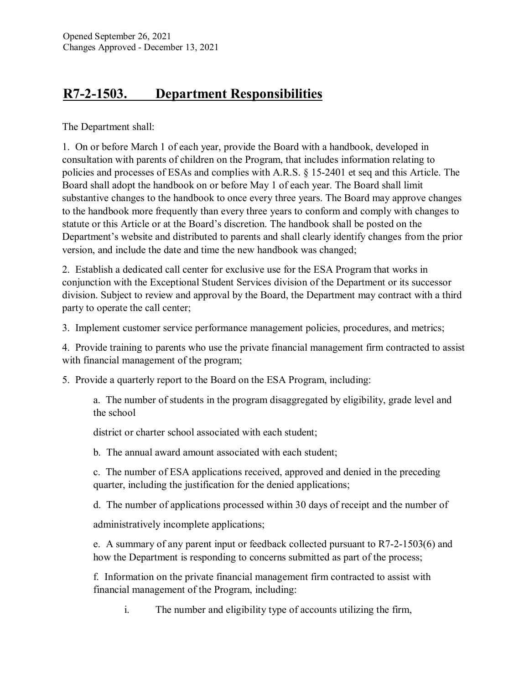## **R7-2-1503. Department Responsibilities**

The Department shall:

1. On or before March 1 of each year, provide the Board with a handbook, developed in consultation with parents of children on the Program, that includes information relating to policies and processes of ESAs and complies with A.R.S. § 15-2401 et seq and this Article. The Board shall adopt the handbook on or before May 1 of each year. The Board shall limit substantive changes to the handbook to once every three years. The Board may approve changes to the handbook more frequently than every three years to conform and comply with changes to statute or this Article or at the Board's discretion. The handbook shall be posted on the Department's website and distributed to parents and shall clearly identify changes from the prior version, and include the date and time the new handbook was changed;

2. Establish a dedicated call center for exclusive use for the ESA Program that works in conjunction with the Exceptional Student Services division of the Department or its successor division. Subject to review and approval by the Board, the Department may contract with a third party to operate the call center;

3. Implement customer service performance management policies, procedures, and metrics;

4. Provide training to parents who use the private financial management firm contracted to assist with financial management of the program;

5. Provide a quarterly report to the Board on the ESA Program, including:

a. The number of students in the program disaggregated by eligibility, grade level and the school

district or charter school associated with each student;

b. The annual award amount associated with each student;

c. The number of ESA applications received, approved and denied in the preceding quarter, including the justification for the denied applications;

d. The number of applications processed within 30 days of receipt and the number of

administratively incomplete applications;

e. A summary of any parent input or feedback collected pursuant to R7-2-1503(6) and how the Department is responding to concerns submitted as part of the process;

f. Information on the private financial management firm contracted to assist with financial management of the Program, including:

i. The number and eligibility type of accounts utilizing the firm,